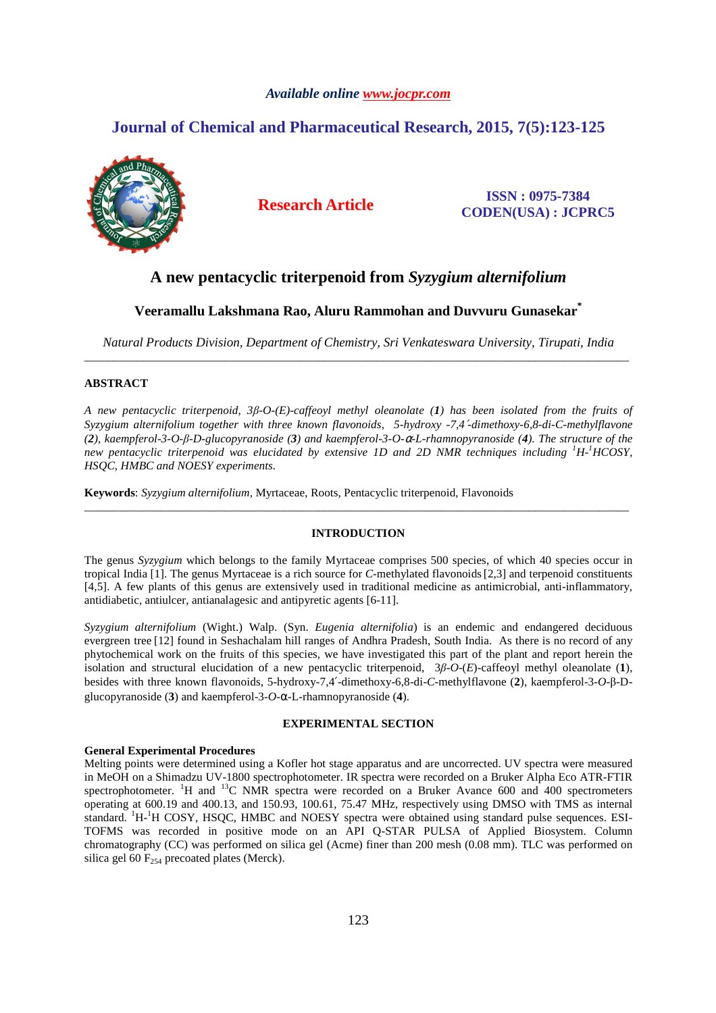# *Available online www.jocpr.com*

# **Journal of Chemical and Pharmaceutical Research, 2015, 7(5):123-125**



**Research Article ISSN : 0975-7384 CODEN(USA) : JCPRC5**

# **A new pentacyclic triterpenoid from** *Syzygium alternifolium*

# **Veeramallu Lakshmana Rao, Aluru Rammohan and Duvvuru Gunasekar\***

*Natural Products Division, Department of Chemistry, Sri Venkateswara University, Tirupati, India*  \_\_\_\_\_\_\_\_\_\_\_\_\_\_\_\_\_\_\_\_\_\_\_\_\_\_\_\_\_\_\_\_\_\_\_\_\_\_\_\_\_\_\_\_\_\_\_\_\_\_\_\_\_\_\_\_\_\_\_\_\_\_\_\_\_\_\_\_\_\_\_\_\_\_\_\_\_\_\_\_\_\_\_\_\_\_\_\_\_\_\_\_\_

# **ABSTRACT**

*A new pentacyclic triterpenoid, 3β-O-(E)-caffeoyl methyl oleanolate (1) has been isolated from the fruits of Syzygium alternifolium together with three known flavonoids, 5-hydroxy -7,4*′*-dimethoxy-6,8-di-C-methylflavone (2), kaempferol-3-O-β-D-glucopyranoside (3) and kaempferol-3-O-*α*-L-rhamnopyranoside (4). The structure of the new pentacyclic triterpenoid was elucidated by extensive 1D and 2D NMR techniques including <sup>1</sup>H-<sup>1</sup>HCOSY, HSQC, HMBC and NOESY experiments.* 

**Keywords**: *Syzygium alternifolium,* Myrtaceae, Roots, Pentacyclic triterpenoid, Flavonoids

# **INTRODUCTION**

\_\_\_\_\_\_\_\_\_\_\_\_\_\_\_\_\_\_\_\_\_\_\_\_\_\_\_\_\_\_\_\_\_\_\_\_\_\_\_\_\_\_\_\_\_\_\_\_\_\_\_\_\_\_\_\_\_\_\_\_\_\_\_\_\_\_\_\_\_\_\_\_\_\_\_\_\_\_\_\_\_\_\_\_\_\_\_\_\_\_\_\_\_

The genus *Syzygium* which belongs to the family Myrtaceae comprises 500 species, of which 40 species occur in tropical India [1]. The genus Myrtaceae is a rich source for *C*-methylated flavonoids[2,3] and terpenoid constituents [4,5]. A few plants of this genus are extensively used in traditional medicine as antimicrobial, anti-inflammatory, antidiabetic, antiulcer, antianalagesic and antipyretic agents [6-11].

*Syzygium alternifolium* (Wight.) Walp. (Syn. *Eugenia alternifolia*) is an endemic and endangered deciduous evergreen tree [12] found in Seshachalam hill ranges of Andhra Pradesh, South India. As there is no record of any phytochemical work on the fruits of this species, we have investigated this part of the plant and report herein the isolation and structural elucidation of a new pentacyclic triterpenoid, 3*β*-*O*-(*E*)-caffeoyl methyl oleanolate (**1**), besides with three known flavonoids, 5-hydroxy-7,4′-dimethoxy-6,8-di-*C-*methylflavone (**2**), kaempferol-3-*O*-β-Dglucopyranoside (**3**) and kaempferol-3-*O*-α-L-rhamnopyranoside (**4**).

# **EXPERIMENTAL SECTION**

### **General Experimental Procedures**

Melting points were determined using a Kofler hot stage apparatus and are uncorrected. UV spectra were measured in MeOH on a Shimadzu UV-1800 spectrophotometer. IR spectra were recorded on a Bruker Alpha Eco ATR-FTIR spectrophotometer. <sup>1</sup>H and <sup>13</sup>C NMR spectra were recorded on a Bruker Avance 600 and 400 spectrometers operating at 600.19 and 400.13, and 150.93, 100.61, 75.47 MHz, respectively using DMSO with TMS as internal standard. <sup>1</sup>H-<sup>1</sup>H COSY, HSQC, HMBC and NOESY spectra were obtained using standard pulse sequences. ESI-TOFMS was recorded in positive mode on an API Q-STAR PULSA of Applied Biosystem. Column chromatography (CC) was performed on silica gel (Acme) finer than 200 mesh (0.08 mm). TLC was performed on silica gel 60  $F<sub>254</sub>$  precoated plates (Merck).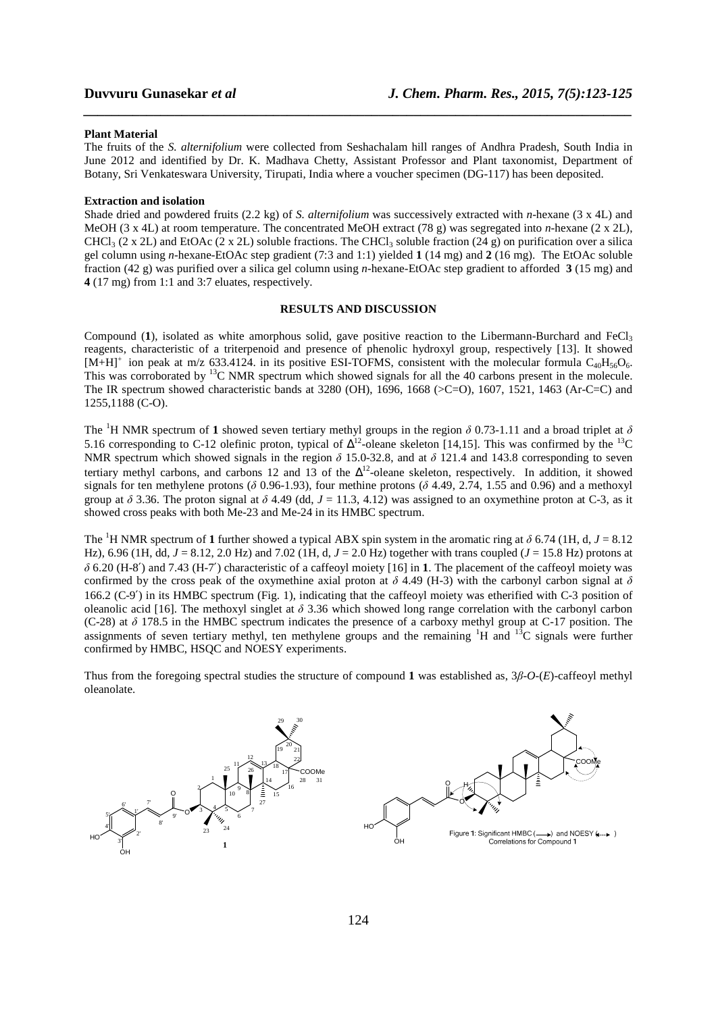### **Plant Material**

The fruits of the *S. alternifolium* were collected from Seshachalam hill ranges of Andhra Pradesh, South India in June 2012 and identified by Dr. K. Madhava Chetty, Assistant Professor and Plant taxonomist, Department of Botany, Sri Venkateswara University, Tirupati, India where a voucher specimen (DG-117) has been deposited.

*\_\_\_\_\_\_\_\_\_\_\_\_\_\_\_\_\_\_\_\_\_\_\_\_\_\_\_\_\_\_\_\_\_\_\_\_\_\_\_\_\_\_\_\_\_\_\_\_\_\_\_\_\_\_\_\_\_\_\_\_\_\_\_\_\_\_\_\_\_\_\_\_\_\_\_\_\_\_*

### **Extraction and isolation**

Shade dried and powdered fruits (2.2 kg) of *S. alternifolium* was successively extracted with *n*-hexane (3 x 4L) and MeOH (3 x 4L) at room temperature. The concentrated MeOH extract (78 g) was segregated into *n*-hexane (2 x 2L), CHCl<sub>3</sub> (2 x 2L) and EtOAc (2 x 2L) soluble fractions. The CHCl<sub>3</sub> soluble fraction (24 g) on purification over a silica gel column using *n*-hexane-EtOAc step gradient (7:3 and 1:1) yielded **1** (14 mg) and **2** (16 mg). The EtOAc soluble fraction (42 g) was purified over a silica gel column using *n*-hexane-EtOAc step gradient to afforded **3** (15 mg) and **4** (17 mg) from 1:1 and 3:7 eluates, respectively.

## **RESULTS AND DISCUSSION**

Compound (1), isolated as white amorphous solid, gave positive reaction to the Libermann-Burchard and FeCl<sub>3</sub> reagents, characteristic of a triterpenoid and presence of phenolic hydroxyl group, respectively [13]. It showed  $[M+H]^+$  ion peak at m/z 633.4124. in its positive ESI-TOFMS, consistent with the molecular formula C<sub>40</sub>H<sub>56</sub>O<sub>6</sub>. This was corroborated by <sup>13</sup>C NMR spectrum which showed signals for all the 40 carbons present in the molecule. The IR spectrum showed characteristic bands at 3280 (OH), 1696, 1668 (>C=O), 1607, 1521, 1463 (Ar-C=C) and 1255,1188 (C-O).

The <sup>1</sup>H NMR spectrum of 1 showed seven tertiary methyl groups in the region  $\delta$  0.73-1.11 and a broad triplet at  $\delta$ 5.16 corresponding to C-12 olefinic proton, typical of  $\Delta^{12}$ -oleane skeleton [14,15]. This was confirmed by the  $^{13}$ C NMR spectrum which showed signals in the region *δ* 15.0-32.8, and at *δ* 121.4 and 143.8 corresponding to seven tertiary methyl carbons, and carbons 12 and 13 of the  $\Delta^{12}$ -oleane skeleton, respectively. In addition, it showed signals for ten methylene protons ( $\delta$  0.96-1.93), four methine protons ( $\delta$  4.49, 2.74, 1.55 and 0.96) and a methoxyl group at  $\delta$  3.36. The proton signal at  $\delta$  4.49 (dd,  $J = 11.3, 4.12$ ) was assigned to an oxymethine proton at C-3, as it showed cross peaks with both Me-23 and Me-24 in its HMBC spectrum.

The <sup>1</sup>H NMR spectrum of 1 further showed a typical ABX spin system in the aromatic ring at  $\delta$  6.74 (1H, d, J = 8.12) Hz), 6.96 (1H, dd,  $J = 8.12$ , 2.0 Hz) and 7.02 (1H, d,  $J = 2.0$  Hz) together with trans coupled ( $J = 15.8$  Hz) protons at *δ* 6.20 (H-8′) and 7.43 (H-7′) characteristic of a caffeoyl moiety [16] in **1**. The placement of the caffeoyl moiety was confirmed by the cross peak of the oxymethine axial proton at  $\delta$  4.49 (H-3) with the carbonyl carbon signal at  $\delta$ 166.2 (C-9′) in its HMBC spectrum (Fig. 1), indicating that the caffeoyl moiety was etherified with C-3 position of oleanolic acid [16]. The methoxyl singlet at *δ* 3.36 which showed long range correlation with the carbonyl carbon (C-28) at *δ* 178.5 in the HMBC spectrum indicates the presence of a carboxy methyl group at C-17 position. The assignments of seven tertiary methyl, ten methylene groups and the remaining  ${}^{1}H$  and  ${}^{13}C$  signals were further confirmed by HMBC, HSQC and NOESY experiments.

Thus from the foregoing spectral studies the structure of compound **1** was established as, 3*β*-*O*-(*E*)-caffeoyl methyl oleanolate.